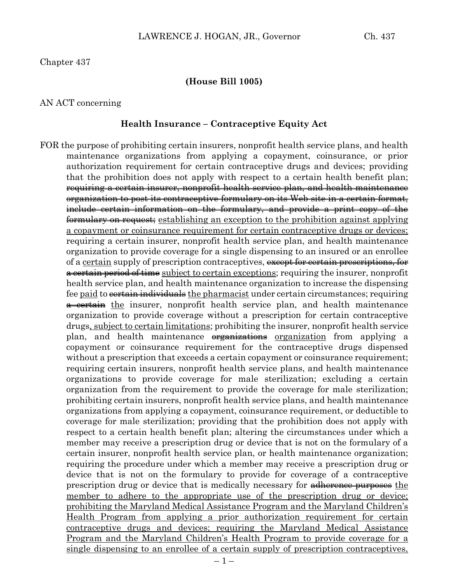Chapter 437

### **(House Bill 1005)**

#### AN ACT concerning

#### **Health Insurance – Contraceptive Equity Act**

FOR the purpose of prohibiting certain insurers, nonprofit health service plans, and health maintenance organizations from applying a copayment, coinsurance, or prior authorization requirement for certain contraceptive drugs and devices; providing that the prohibition does not apply with respect to a certain health benefit plan; requiring a certain insurer, nonprofit health service plan, and health maintenance organization to post its contraceptive formulary on its Web site in a certain format, include certain information on the formulary, and provide a print copy of the formulary on request; establishing an exception to the prohibition against applying a copayment or coinsurance requirement for certain contraceptive drugs or devices; requiring a certain insurer, nonprofit health service plan, and health maintenance organization to provide coverage for a single dispensing to an insured or an enrollee of a <u>certain</u> supply of prescription contraceptives, except for certain prescriptions, for a certain period of time subject to certain exceptions; requiring the insurer, nonprofit health service plan, and health maintenance organization to increase the dispensing fee paid to <del>certain individuals</del> the pharmacist under certain circumstances; requiring a certain the insurer, nonprofit health service plan, and health maintenance organization to provide coverage without a prescription for certain contraceptive drugs, subject to certain limitations; prohibiting the insurer, nonprofit health service plan, and health maintenance <del>organizations</del> organization from applying a copayment or coinsurance requirement for the contraceptive drugs dispensed without a prescription that exceeds a certain copayment or coinsurance requirement; requiring certain insurers, nonprofit health service plans, and health maintenance organizations to provide coverage for male sterilization; excluding a certain organization from the requirement to provide the coverage for male sterilization; prohibiting certain insurers, nonprofit health service plans, and health maintenance organizations from applying a copayment, coinsurance requirement, or deductible to coverage for male sterilization; providing that the prohibition does not apply with respect to a certain health benefit plan; altering the circumstances under which a member may receive a prescription drug or device that is not on the formulary of a certain insurer, nonprofit health service plan, or health maintenance organization; requiring the procedure under which a member may receive a prescription drug or device that is not on the formulary to provide for coverage of a contraceptive prescription drug or device that is medically necessary for adherence purposes the member to adhere to the appropriate use of the prescription drug or device; prohibiting the Maryland Medical Assistance Program and the Maryland Children's Health Program from applying a prior authorization requirement for certain contraceptive drugs and devices; requiring the Maryland Medical Assistance Program and the Maryland Children's Health Program to provide coverage for a single dispensing to an enrollee of a certain supply of prescription contraceptives,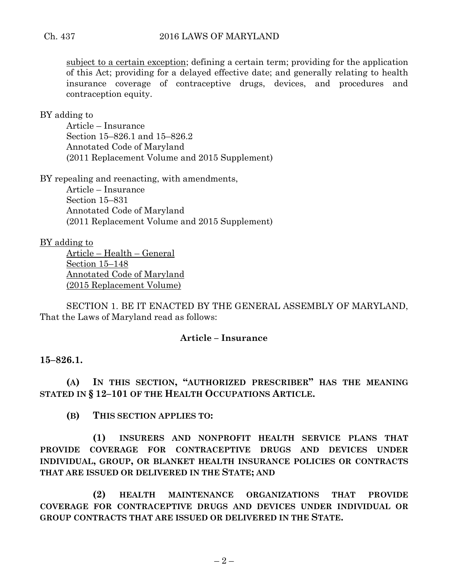subject to a certain exception; defining a certain term; providing for the application of this Act; providing for a delayed effective date; and generally relating to health insurance coverage of contraceptive drugs, devices, and procedures and contraception equity.

BY adding to

Article – Insurance Section 15–826.1 and 15–826.2 Annotated Code of Maryland (2011 Replacement Volume and 2015 Supplement)

BY repealing and reenacting, with amendments,

Article – Insurance Section 15–831 Annotated Code of Maryland (2011 Replacement Volume and 2015 Supplement)

BY adding to

Article – Health – General Section 15–148 Annotated Code of Maryland (2015 Replacement Volume)

SECTION 1. BE IT ENACTED BY THE GENERAL ASSEMBLY OF MARYLAND, That the Laws of Maryland read as follows:

## **Article – Insurance**

**15–826.1.**

**(A) IN THIS SECTION, "AUTHORIZED PRESCRIBER" HAS THE MEANING STATED IN § 12–101 OF THE HEALTH OCCUPATIONS ARTICLE.**

**(B) THIS SECTION APPLIES TO:**

**(1) INSURERS AND NONPROFIT HEALTH SERVICE PLANS THAT PROVIDE COVERAGE FOR CONTRACEPTIVE DRUGS AND DEVICES UNDER INDIVIDUAL, GROUP, OR BLANKET HEALTH INSURANCE POLICIES OR CONTRACTS THAT ARE ISSUED OR DELIVERED IN THE STATE; AND**

**(2) HEALTH MAINTENANCE ORGANIZATIONS THAT PROVIDE COVERAGE FOR CONTRACEPTIVE DRUGS AND DEVICES UNDER INDIVIDUAL OR GROUP CONTRACTS THAT ARE ISSUED OR DELIVERED IN THE STATE.**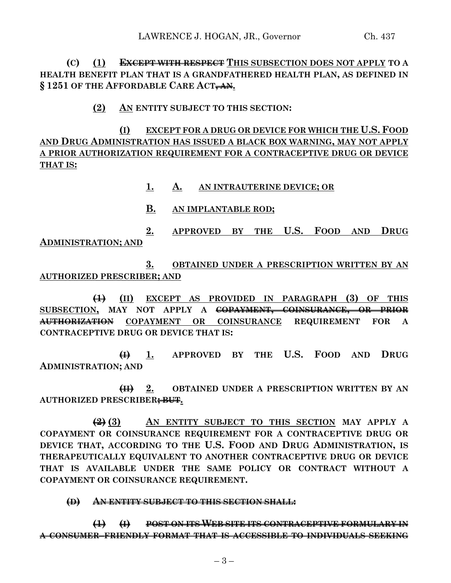**(C) (1) EXCEPT WITH RESPECT THIS SUBSECTION DOES NOT APPLY TO A HEALTH BENEFIT PLAN THAT IS A GRANDFATHERED HEALTH PLAN, AS DEFINED IN § 1251 OF THE AFFORDABLE CARE ACT, AN.**

**(2) AN ENTITY SUBJECT TO THIS SECTION:**

**(I) EXCEPT FOR A DRUG OR DEVICE FOR WHICH THE U.S. FOOD AND DRUG ADMINISTRATION HAS ISSUED A BLACK BOX WARNING, MAY NOT APPLY A PRIOR AUTHORIZATION REQUIREMENT FOR A CONTRACEPTIVE DRUG OR DEVICE THAT IS:**

- **1. A. AN INTRAUTERINE DEVICE; OR**
- **B. AN IMPLANTABLE ROD;**

**2. APPROVED BY THE U.S. FOOD AND DRUG ADMINISTRATION; AND**

**3. OBTAINED UNDER A PRESCRIPTION WRITTEN BY AN AUTHORIZED PRESCRIBER; AND**

**(1) (II) EXCEPT AS PROVIDED IN PARAGRAPH (3) OF THIS SUBSECTION, MAY NOT APPLY A COPAYMENT, COINSURANCE, OR PRIOR AUTHORIZATION COPAYMENT OR COINSURANCE REQUIREMENT FOR A CONTRACEPTIVE DRUG OR DEVICE THAT IS:**

**(I) 1. APPROVED BY THE U.S. FOOD AND DRUG ADMINISTRATION; AND**

**(II) 2. OBTAINED UNDER A PRESCRIPTION WRITTEN BY AN AUTHORIZED PRESCRIBER; BUT.**

**(2) (3) AN ENTITY SUBJECT TO THIS SECTION MAY APPLY A COPAYMENT OR COINSURANCE REQUIREMENT FOR A CONTRACEPTIVE DRUG OR DEVICE THAT, ACCORDING TO THE U.S. FOOD AND DRUG ADMINISTRATION, IS THERAPEUTICALLY EQUIVALENT TO ANOTHER CONTRACEPTIVE DRUG OR DEVICE THAT IS AVAILABLE UNDER THE SAME POLICY OR CONTRACT WITHOUT A COPAYMENT OR COINSURANCE REQUIREMENT.**

**(D) AN ENTITY SUBJECT TO THIS SECTION SHALL:**

**(1) (I) POST ON ITS WEB SITE ITS CONTRACEPTIVE FORMULARY IN A CONSUMER–FRIENDLY FORMAT THAT IS ACCESSIBLE TO INDIVIDUALS SEEKING**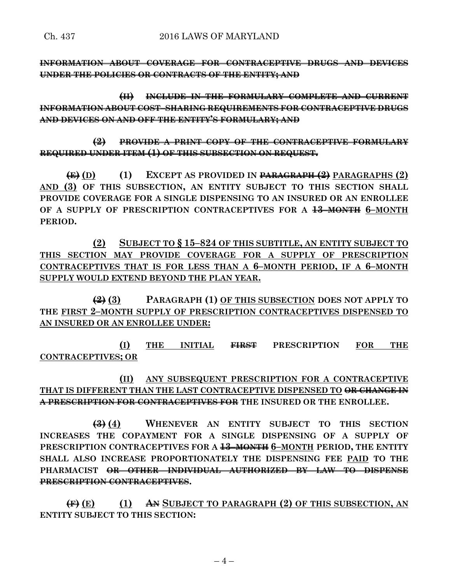**INFORMATION ABOUT COVERAGE FOR CONTRACEPTIVE DRUGS AND DEVICES UNDER THE POLICIES OR CONTRACTS OF THE ENTITY; AND**

**(II) INCLUDE IN THE FORMULARY COMPLETE AND CURRENT INFORMATION ABOUT COST–SHARING REQUIREMENTS FOR CONTRACEPTIVE DRUGS AND DEVICES ON AND OFF THE ENTITY'S FORMULARY; AND**

**(2) PROVIDE A PRINT COPY OF THE CONTRACEPTIVE FORMULARY REQUIRED UNDER ITEM (1) OF THIS SUBSECTION ON REQUEST.**

**(E) (D) (1) EXCEPT AS PROVIDED IN PARAGRAPH (2) PARAGRAPHS (2) AND (3) OF THIS SUBSECTION, AN ENTITY SUBJECT TO THIS SECTION SHALL PROVIDE COVERAGE FOR A SINGLE DISPENSING TO AN INSURED OR AN ENROLLEE OF A SUPPLY OF PRESCRIPTION CONTRACEPTIVES FOR A 13–MONTH 6–MONTH PERIOD.**

**(2) SUBJECT TO § 15–824 OF THIS SUBTITLE, AN ENTITY SUBJECT TO THIS SECTION MAY PROVIDE COVERAGE FOR A SUPPLY OF PRESCRIPTION CONTRACEPTIVES THAT IS FOR LESS THAN A 6–MONTH PERIOD, IF A 6–MONTH SUPPLY WOULD EXTEND BEYOND THE PLAN YEAR.**

**(2) (3) PARAGRAPH (1) OF THIS SUBSECTION DOES NOT APPLY TO THE FIRST 2–MONTH SUPPLY OF PRESCRIPTION CONTRACEPTIVES DISPENSED TO AN INSURED OR AN ENROLLEE UNDER:**

**(I) THE INITIAL FIRST PRESCRIPTION FOR THE CONTRACEPTIVES; OR**

**(II) ANY SUBSEQUENT PRESCRIPTION FOR A CONTRACEPTIVE THAT IS DIFFERENT THAN THE LAST CONTRACEPTIVE DISPENSED TO OR CHANGE IN A PRESCRIPTION FOR CONTRACEPTIVES FOR THE INSURED OR THE ENROLLEE.**

**(3) (4) WHENEVER AN ENTITY SUBJECT TO THIS SECTION INCREASES THE COPAYMENT FOR A SINGLE DISPENSING OF A SUPPLY OF PRESCRIPTION CONTRACEPTIVES FOR A 13–MONTH 6–MONTH PERIOD, THE ENTITY SHALL ALSO INCREASE PROPORTIONATELY THE DISPENSING FEE PAID TO THE PHARMACIST OR OTHER INDIVIDUAL AUTHORIZED BY LAW TO DISPENSE PRESCRIPTION CONTRACEPTIVES.**

**(F) (E) (1) AN SUBJECT TO PARAGRAPH (2) OF THIS SUBSECTION, AN ENTITY SUBJECT TO THIS SECTION:**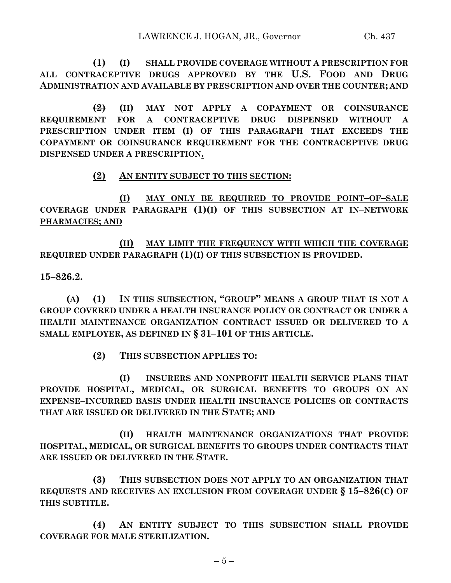**(1) (I) SHALL PROVIDE COVERAGE WITHOUT A PRESCRIPTION FOR ALL CONTRACEPTIVE DRUGS APPROVED BY THE U.S. FOOD AND DRUG ADMINISTRATION AND AVAILABLE BY PRESCRIPTION AND OVER THE COUNTER; AND**

**(2) (II) MAY NOT APPLY A COPAYMENT OR COINSURANCE REQUIREMENT FOR A CONTRACEPTIVE DRUG DISPENSED WITHOUT A PRESCRIPTION UNDER ITEM (I) OF THIS PARAGRAPH THAT EXCEEDS THE COPAYMENT OR COINSURANCE REQUIREMENT FOR THE CONTRACEPTIVE DRUG DISPENSED UNDER A PRESCRIPTION.**

## **(2) AN ENTITY SUBJECT TO THIS SECTION:**

**(I) MAY ONLY BE REQUIRED TO PROVIDE POINT–OF–SALE COVERAGE UNDER PARAGRAPH (1)(I) OF THIS SUBSECTION AT IN–NETWORK PHARMACIES; AND**

## **(II) MAY LIMIT THE FREQUENCY WITH WHICH THE COVERAGE REQUIRED UNDER PARAGRAPH (1)(I) OF THIS SUBSECTION IS PROVIDED.**

**15–826.2.**

**(A) (1) IN THIS SUBSECTION, "GROUP" MEANS A GROUP THAT IS NOT A GROUP COVERED UNDER A HEALTH INSURANCE POLICY OR CONTRACT OR UNDER A HEALTH MAINTENANCE ORGANIZATION CONTRACT ISSUED OR DELIVERED TO A SMALL EMPLOYER, AS DEFINED IN § 31–101 OF THIS ARTICLE.**

**(2) THIS SUBSECTION APPLIES TO:**

**(I) INSURERS AND NONPROFIT HEALTH SERVICE PLANS THAT PROVIDE HOSPITAL, MEDICAL, OR SURGICAL BENEFITS TO GROUPS ON AN EXPENSE–INCURRED BASIS UNDER HEALTH INSURANCE POLICIES OR CONTRACTS THAT ARE ISSUED OR DELIVERED IN THE STATE; AND**

**(II) HEALTH MAINTENANCE ORGANIZATIONS THAT PROVIDE HOSPITAL, MEDICAL, OR SURGICAL BENEFITS TO GROUPS UNDER CONTRACTS THAT ARE ISSUED OR DELIVERED IN THE STATE.**

**(3) THIS SUBSECTION DOES NOT APPLY TO AN ORGANIZATION THAT REQUESTS AND RECEIVES AN EXCLUSION FROM COVERAGE UNDER § 15–826(C) OF THIS SUBTITLE.**

**(4) AN ENTITY SUBJECT TO THIS SUBSECTION SHALL PROVIDE COVERAGE FOR MALE STERILIZATION.**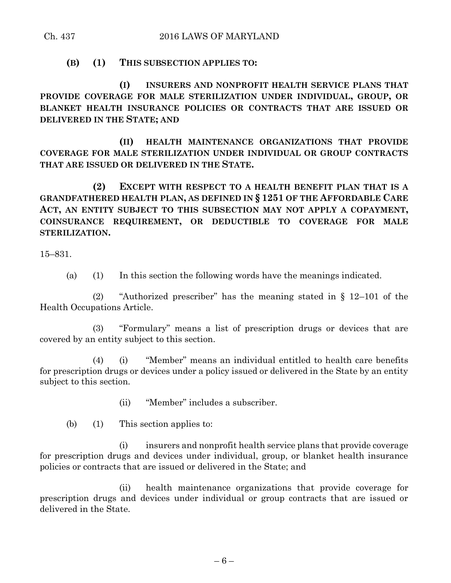**(B) (1) THIS SUBSECTION APPLIES TO:**

**(I) INSURERS AND NONPROFIT HEALTH SERVICE PLANS THAT PROVIDE COVERAGE FOR MALE STERILIZATION UNDER INDIVIDUAL, GROUP, OR BLANKET HEALTH INSURANCE POLICIES OR CONTRACTS THAT ARE ISSUED OR DELIVERED IN THE STATE; AND**

**(II) HEALTH MAINTENANCE ORGANIZATIONS THAT PROVIDE COVERAGE FOR MALE STERILIZATION UNDER INDIVIDUAL OR GROUP CONTRACTS THAT ARE ISSUED OR DELIVERED IN THE STATE.**

**(2) EXCEPT WITH RESPECT TO A HEALTH BENEFIT PLAN THAT IS A GRANDFATHERED HEALTH PLAN, AS DEFINED IN § 1251 OF THE AFFORDABLE CARE ACT, AN ENTITY SUBJECT TO THIS SUBSECTION MAY NOT APPLY A COPAYMENT, COINSURANCE REQUIREMENT, OR DEDUCTIBLE TO COVERAGE FOR MALE STERILIZATION.**

15–831.

(a) (1) In this section the following words have the meanings indicated.

(2) "Authorized prescriber" has the meaning stated in § 12–101 of the Health Occupations Article.

(3) "Formulary" means a list of prescription drugs or devices that are covered by an entity subject to this section.

(4) (i) "Member" means an individual entitled to health care benefits for prescription drugs or devices under a policy issued or delivered in the State by an entity subject to this section.

(ii) "Member" includes a subscriber.

(b) (1) This section applies to:

(i) insurers and nonprofit health service plans that provide coverage for prescription drugs and devices under individual, group, or blanket health insurance policies or contracts that are issued or delivered in the State; and

(ii) health maintenance organizations that provide coverage for prescription drugs and devices under individual or group contracts that are issued or delivered in the State.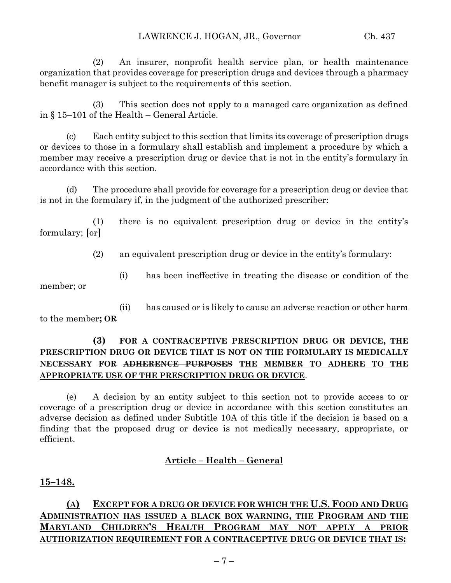(2) An insurer, nonprofit health service plan, or health maintenance organization that provides coverage for prescription drugs and devices through a pharmacy benefit manager is subject to the requirements of this section.

(3) This section does not apply to a managed care organization as defined in § 15–101 of the Health – General Article.

(c) Each entity subject to this section that limits its coverage of prescription drugs or devices to those in a formulary shall establish and implement a procedure by which a member may receive a prescription drug or device that is not in the entity's formulary in accordance with this section.

(d) The procedure shall provide for coverage for a prescription drug or device that is not in the formulary if, in the judgment of the authorized prescriber:

(1) there is no equivalent prescription drug or device in the entity's formulary; **[**or**]**

(2) an equivalent prescription drug or device in the entity's formulary:

(i) has been ineffective in treating the disease or condition of the member; or

(ii) has caused or is likely to cause an adverse reaction or other harm to the member**; OR**

## **(3) FOR A CONTRACEPTIVE PRESCRIPTION DRUG OR DEVICE, THE PRESCRIPTION DRUG OR DEVICE THAT IS NOT ON THE FORMULARY IS MEDICALLY NECESSARY FOR ADHERENCE PURPOSES THE MEMBER TO ADHERE TO THE APPROPRIATE USE OF THE PRESCRIPTION DRUG OR DEVICE**.

(e) A decision by an entity subject to this section not to provide access to or coverage of a prescription drug or device in accordance with this section constitutes an adverse decision as defined under Subtitle 10A of this title if the decision is based on a finding that the proposed drug or device is not medically necessary, appropriate, or efficient.

## **Article – Health – General**

## **15–148.**

# **(A) EXCEPT FOR A DRUG OR DEVICE FOR WHICH THE U.S. FOOD AND DRUG ADMINISTRATION HAS ISSUED A BLACK BOX WARNING, THE PROGRAM AND THE MARYLAND CHILDREN'S HEALTH PROGRAM MAY NOT APPLY A PRIOR AUTHORIZATION REQUIREMENT FOR A CONTRACEPTIVE DRUG OR DEVICE THAT IS:**